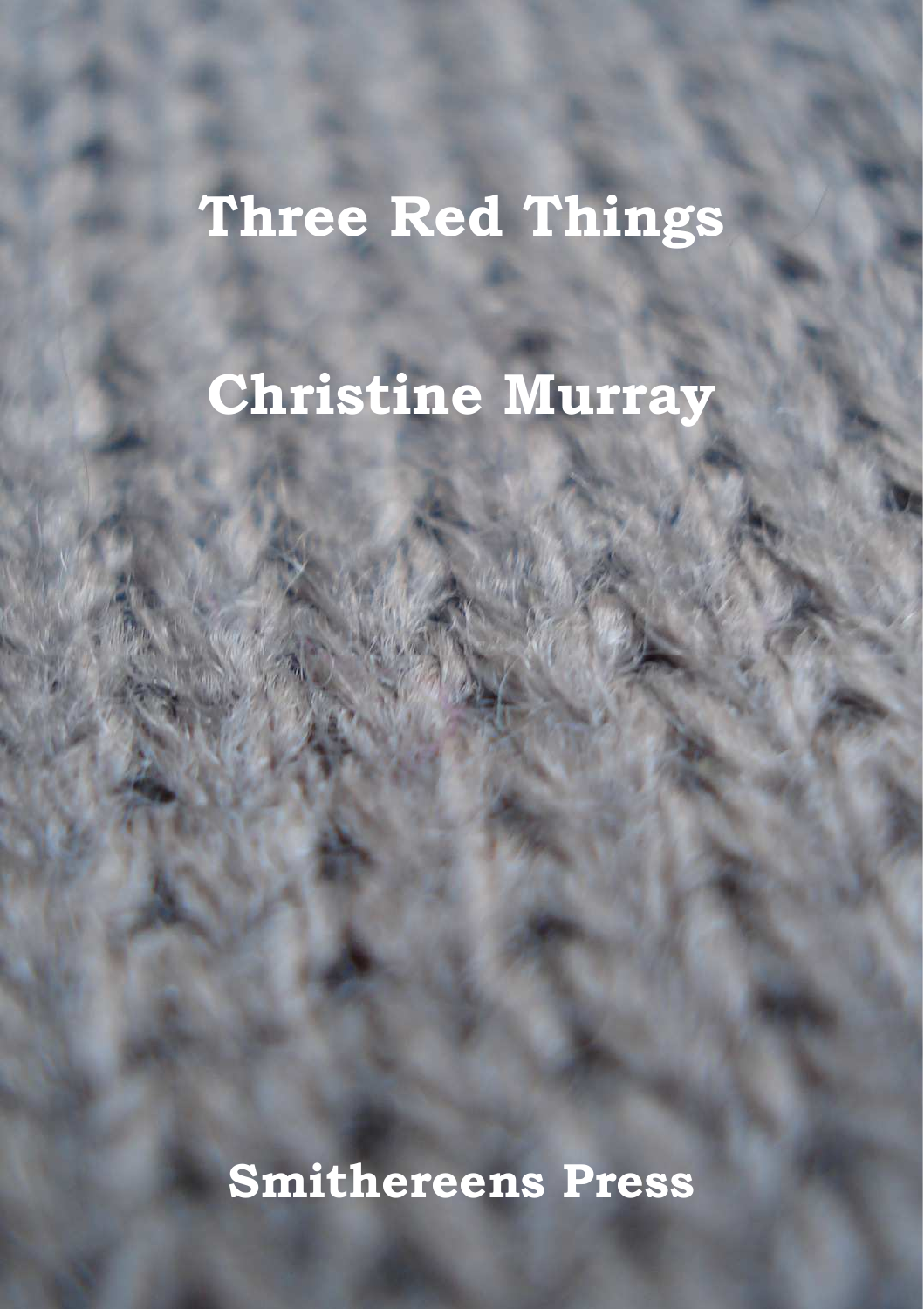# **Three Red Things**

# **Christine Murray**

**Smithereens Press**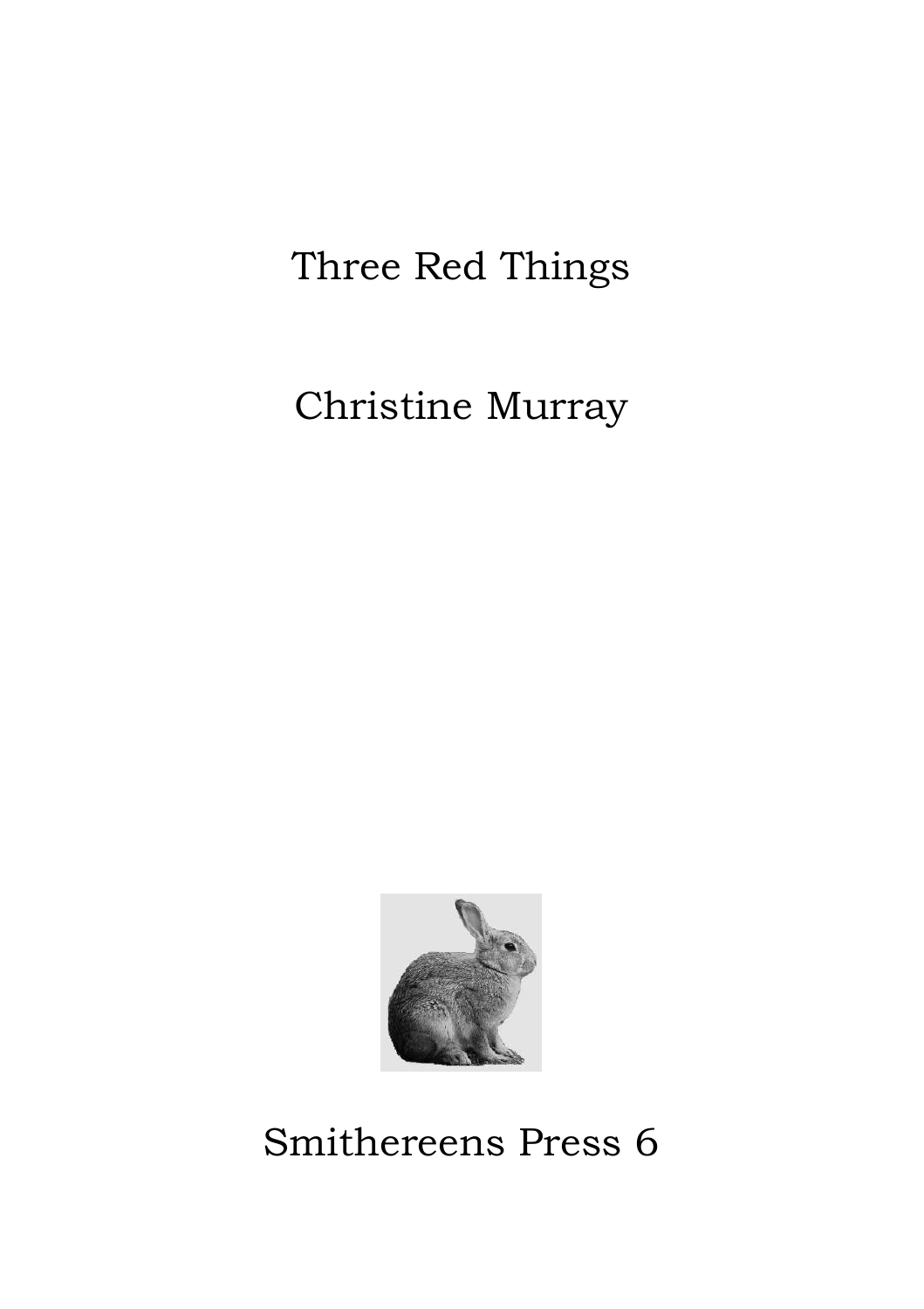# Three Red Things

# Christine Murray



Smithereens Press 6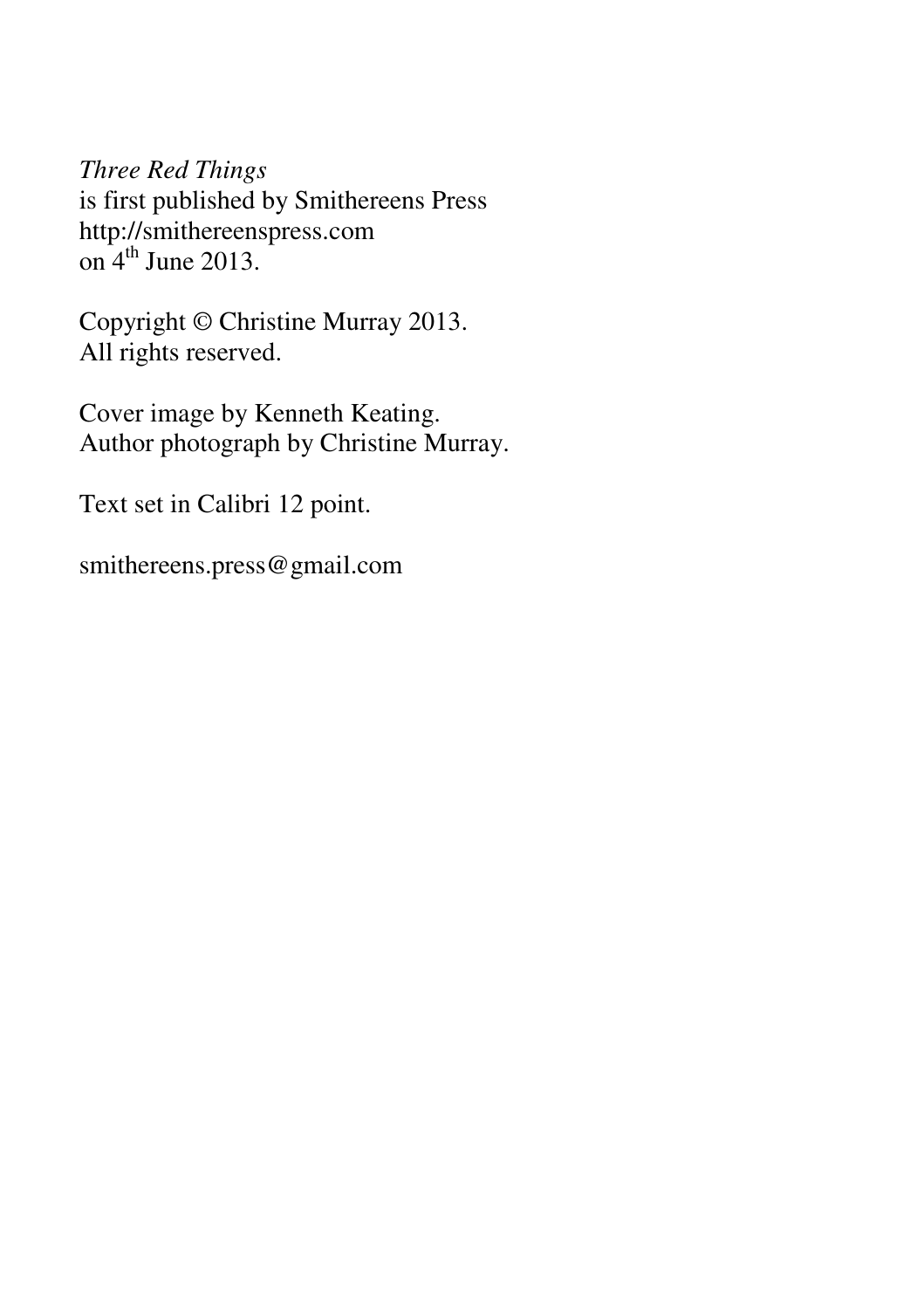*Three Red Things*  is first published by Smithereens Press http://smithereenspress.com on  $4^{\text{th}}$  June 2013.

Copyright © Christine Murray 2013. All rights reserved.

Cover image by Kenneth Keating. Author photograph by Christine Murray.

Text set in Calibri 12 point.

smithereens.press@gmail.com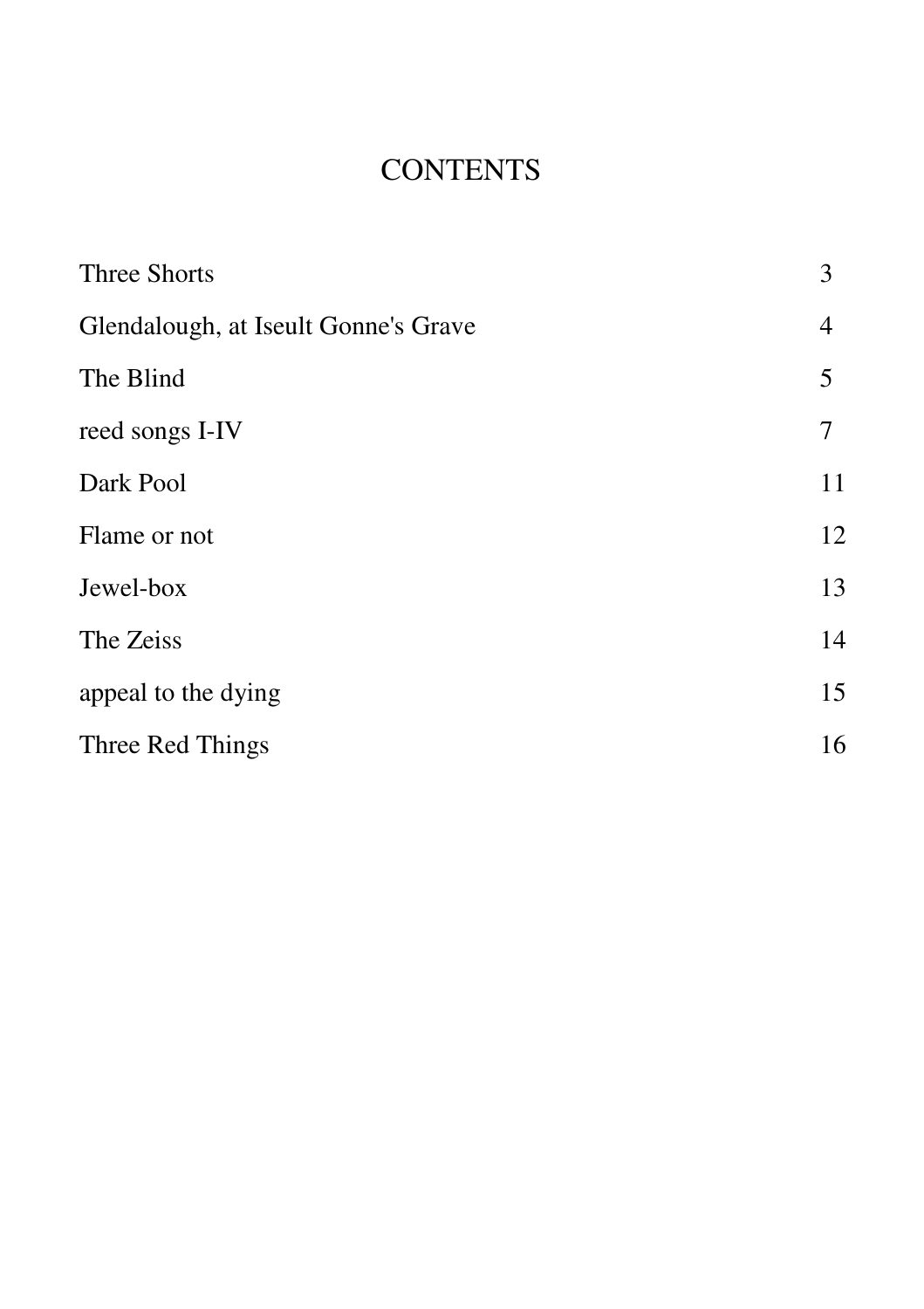### **CONTENTS**

| Three Shorts                         | 3  |
|--------------------------------------|----|
| Glendalough, at Iseult Gonne's Grave |    |
| The Blind                            | 5  |
| reed songs I-IV                      | 7  |
| Dark Pool                            | 11 |
| Flame or not                         | 12 |
| Jewel-box                            | 13 |
| The Zeiss                            | 14 |
| appeal to the dying                  | 15 |
| Three Red Things                     | 16 |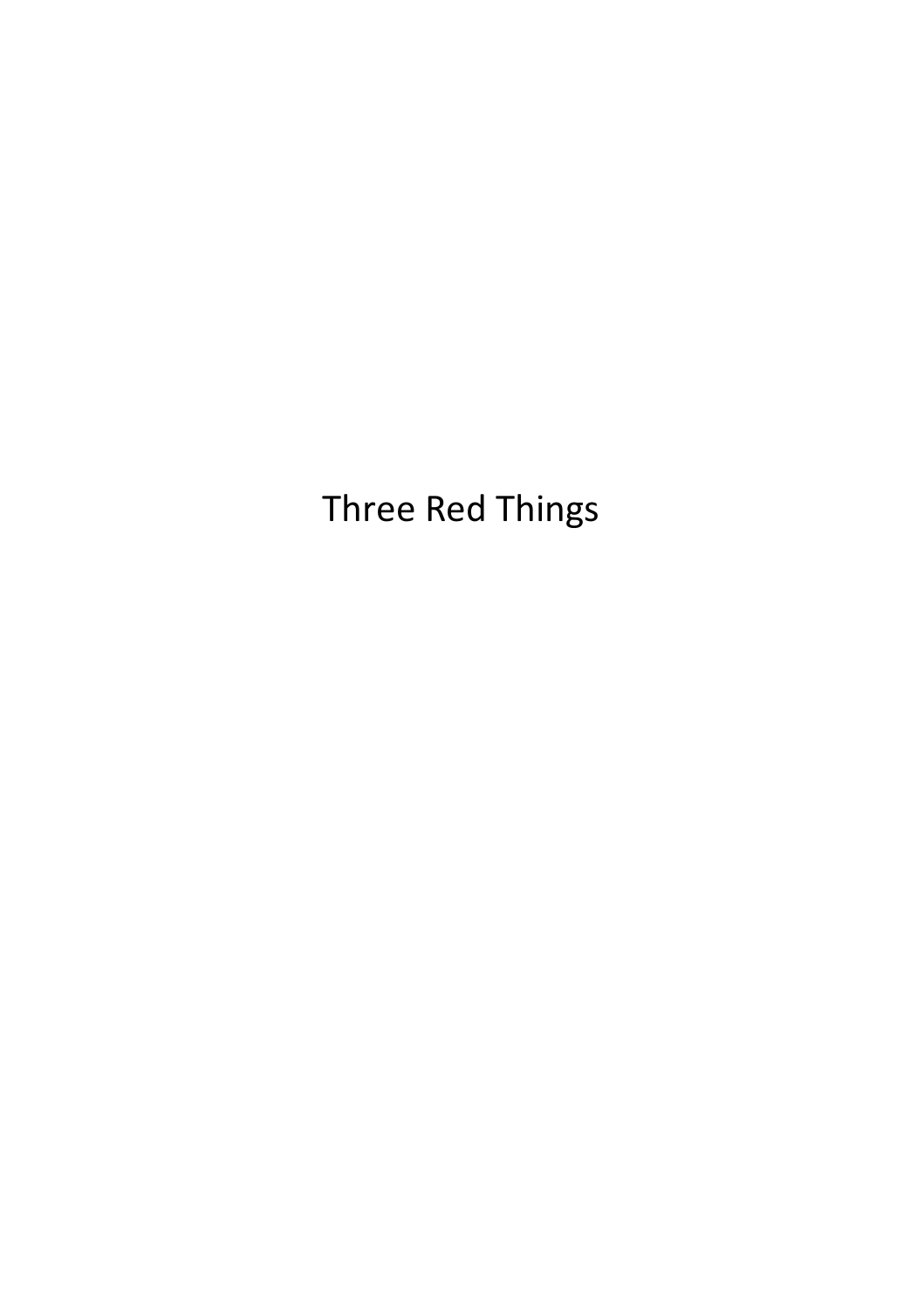Three Red Things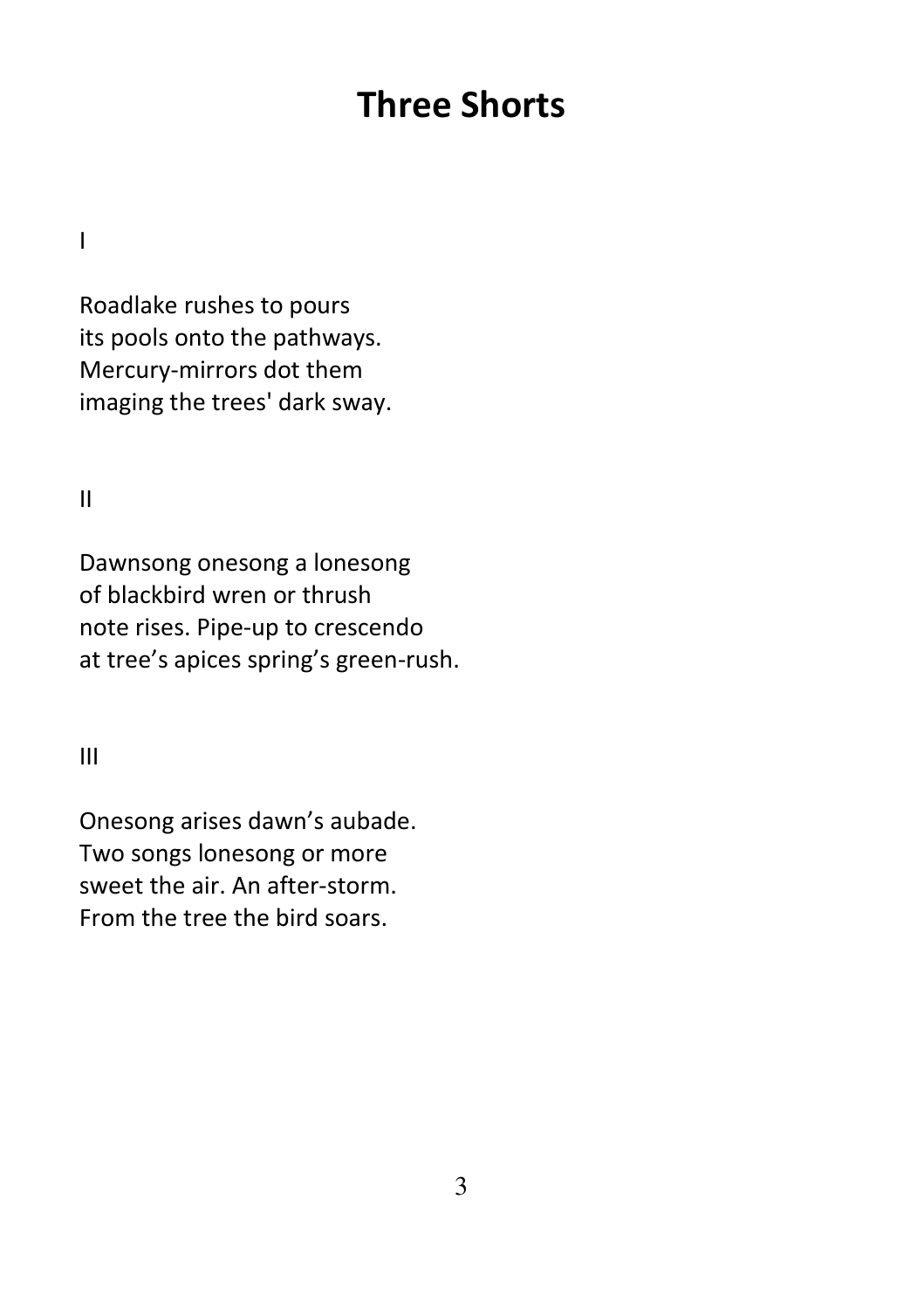# Three Shorts

I

Roadlake rushes to pours its pools onto the pathways. Mercury-mirrors dot them imaging the trees' dark sway.

II

Dawnsong onesong a lonesong of blackbird wren or thrush note rises. Pipe-up to crescendo at tree's apices spring's green-rush.

III

Onesong arises dawn's aubade. Two songs lonesong or more sweet the air. An after-storm. From the tree the bird soars.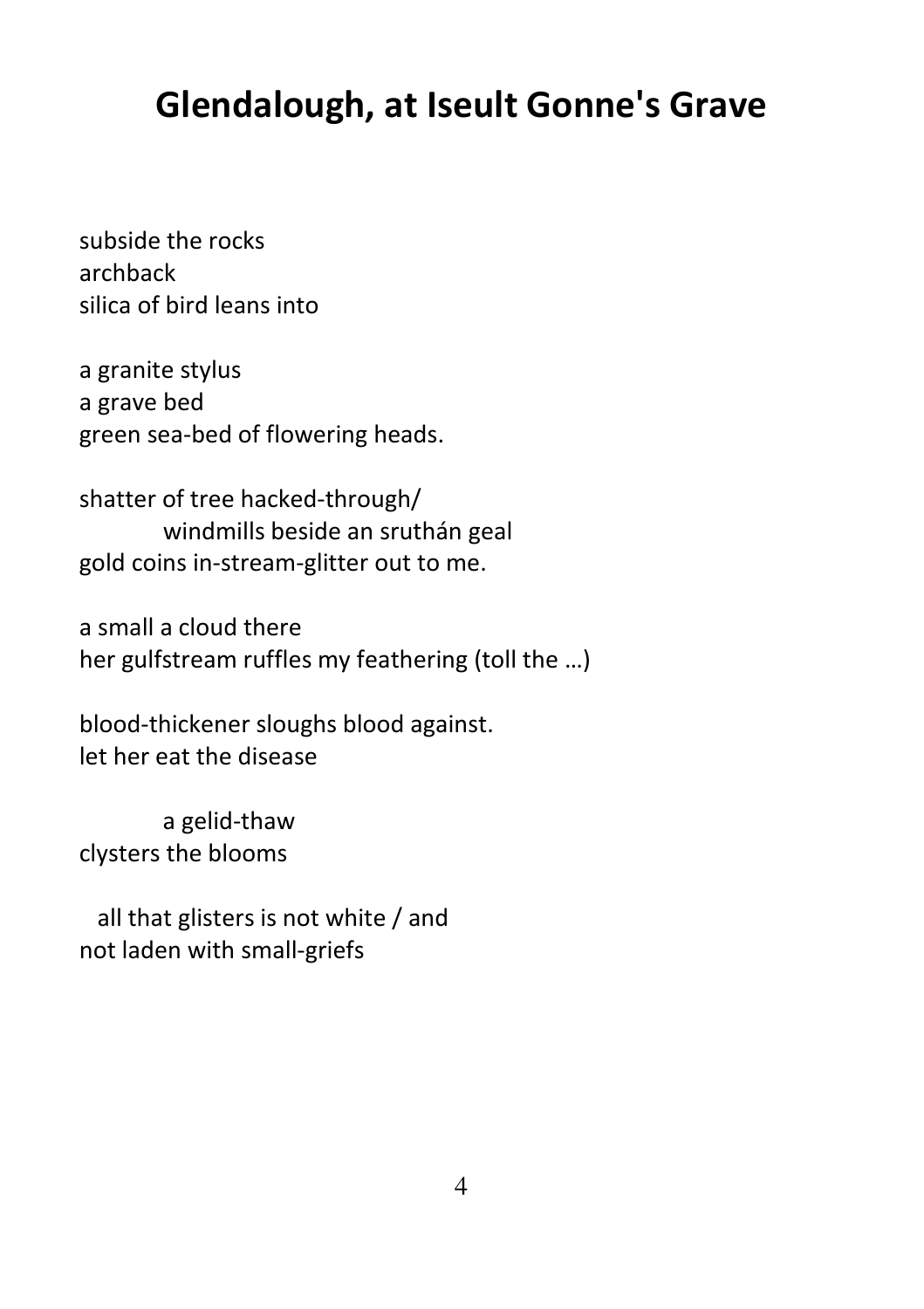### Glendalough, at Iseult Gonne's Grave

subside the rocks archback silica of bird leans into

a granite stylus a grave bed green sea-bed of flowering heads.

shatter of tree hacked-through/ windmills beside an sruthán geal gold coins in-stream-glitter out to me.

a small a cloud there her gulfstream ruffles my feathering (toll the …)

blood-thickener sloughs blood against. let her eat the disease

 a gelid-thaw clysters the blooms

 all that glisters is not white / and not laden with small-griefs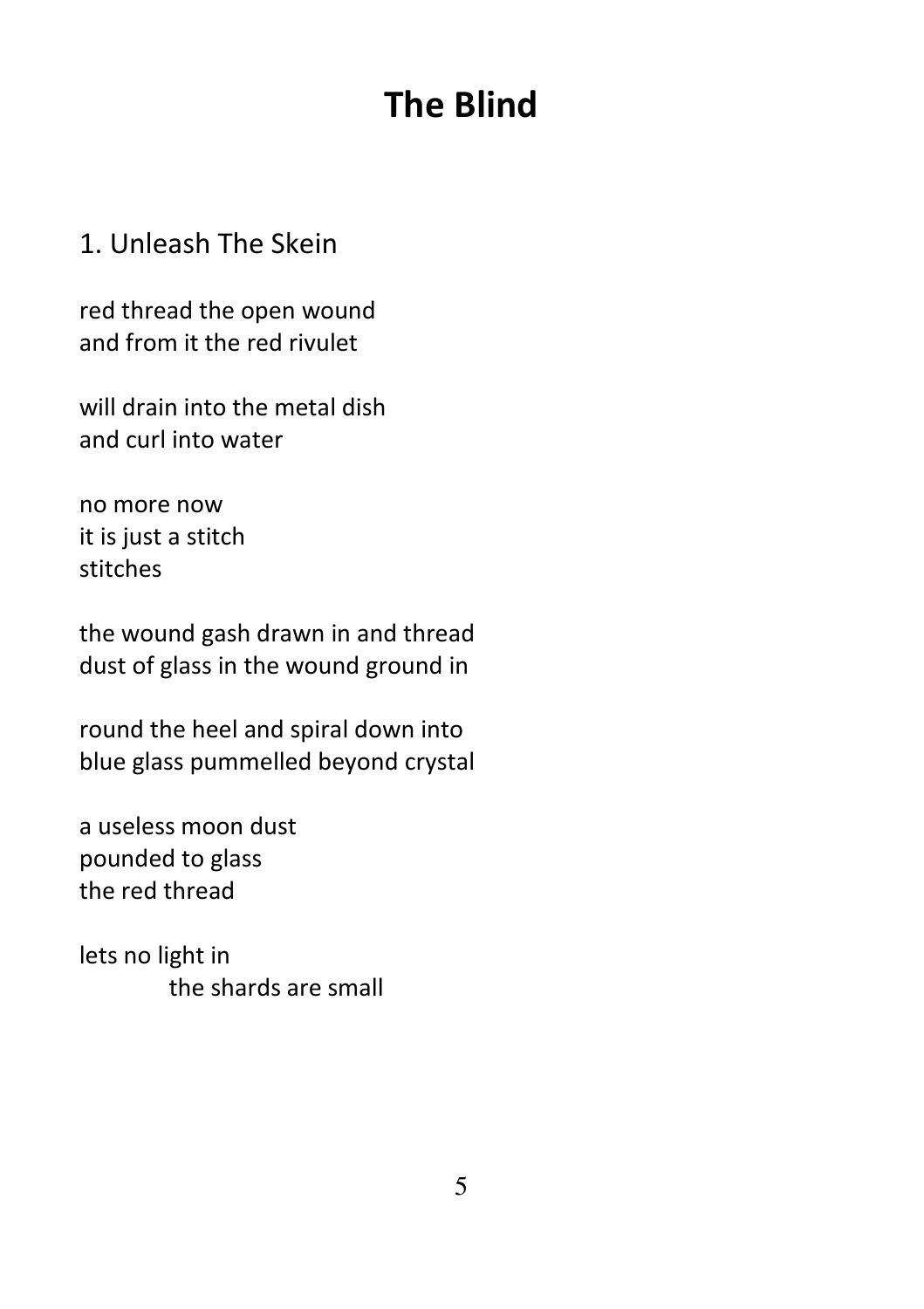# The Blind

#### 1. Unleash The Skein

red thread the open wound and from it the red rivulet

will drain into the metal dish and curl into water

no more now it is just a stitch stitches

the wound gash drawn in and thread dust of glass in the wound ground in

round the heel and spiral down into blue glass pummelled beyond crystal

a useless moon dust pounded to glass the red thread

lets no light in the shards are small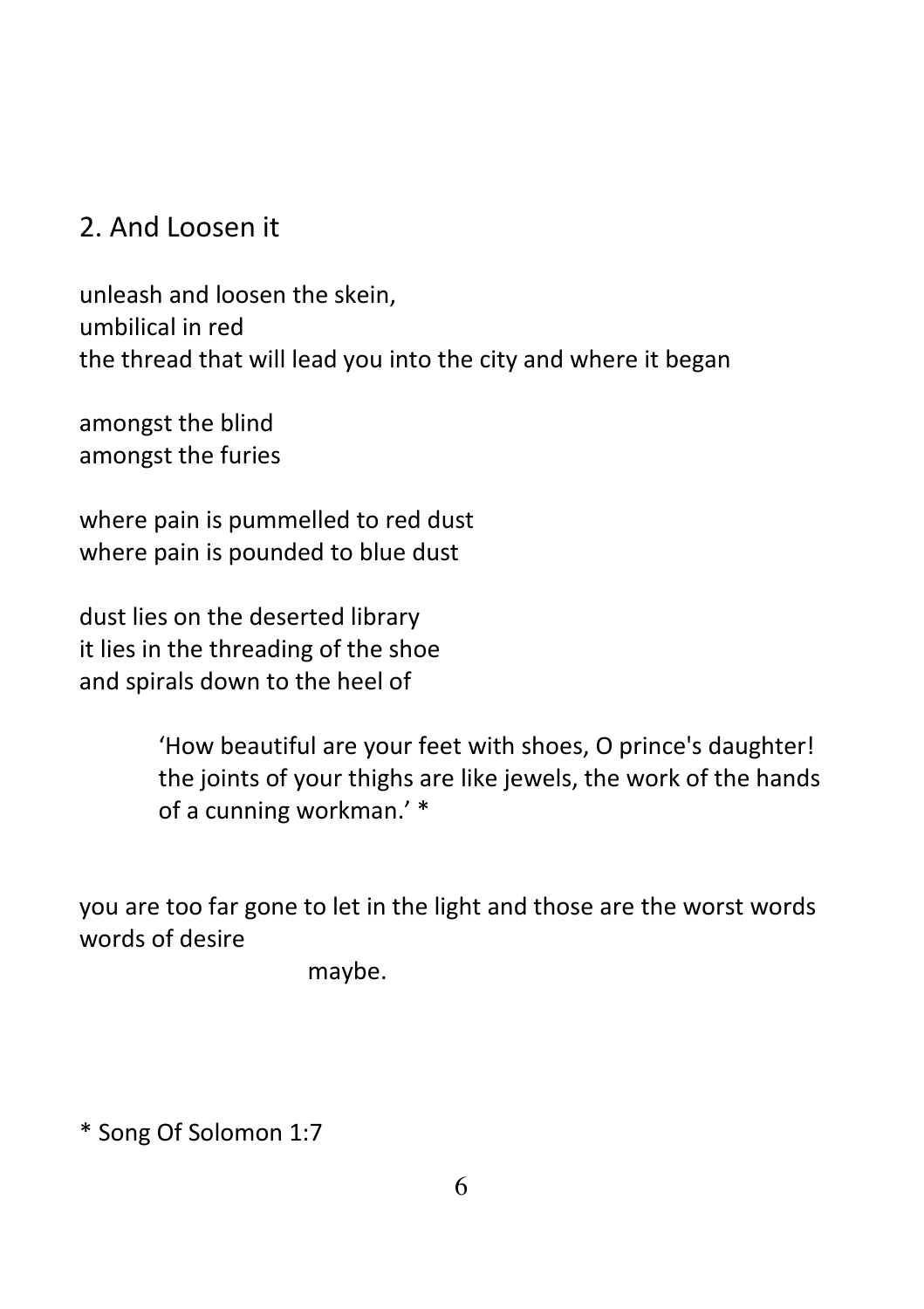### 2. And Loosen it

unleash and loosen the skein, umbilical in red the thread that will lead you into the city and where it began

amongst the blind amongst the furies

where pain is pummelled to red dust where pain is pounded to blue dust

dust lies on the deserted library it lies in the threading of the shoe and spirals down to the heel of

> 'How beautiful are your feet with shoes, O prince's daughter! the joints of your thighs are like jewels, the work of the hands of a cunning workman.' \*

you are too far gone to let in the light and those are the worst words words of desire

maybe.

\* Song Of Solomon 1:7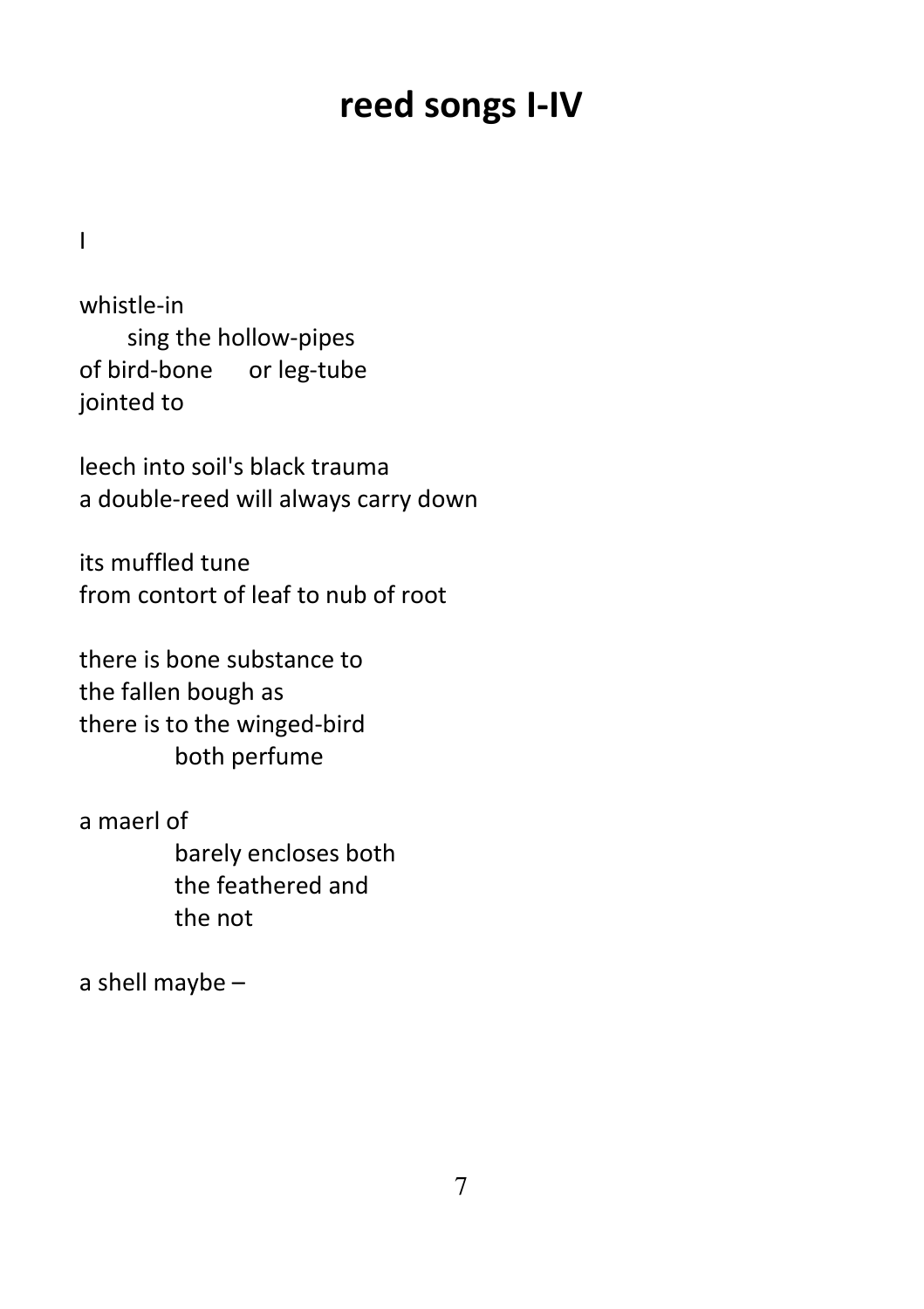### reed songs I-IV

I

whistle-in sing the hollow-pipes of bird-bone or leg-tube jointed to

leech into soil's black trauma a double-reed will always carry down

its muffled tune from contort of leaf to nub of root

there is bone substance to the fallen bough as there is to the winged-bird both perfume

a maerl of barely encloses both the feathered and the not

a shell maybe –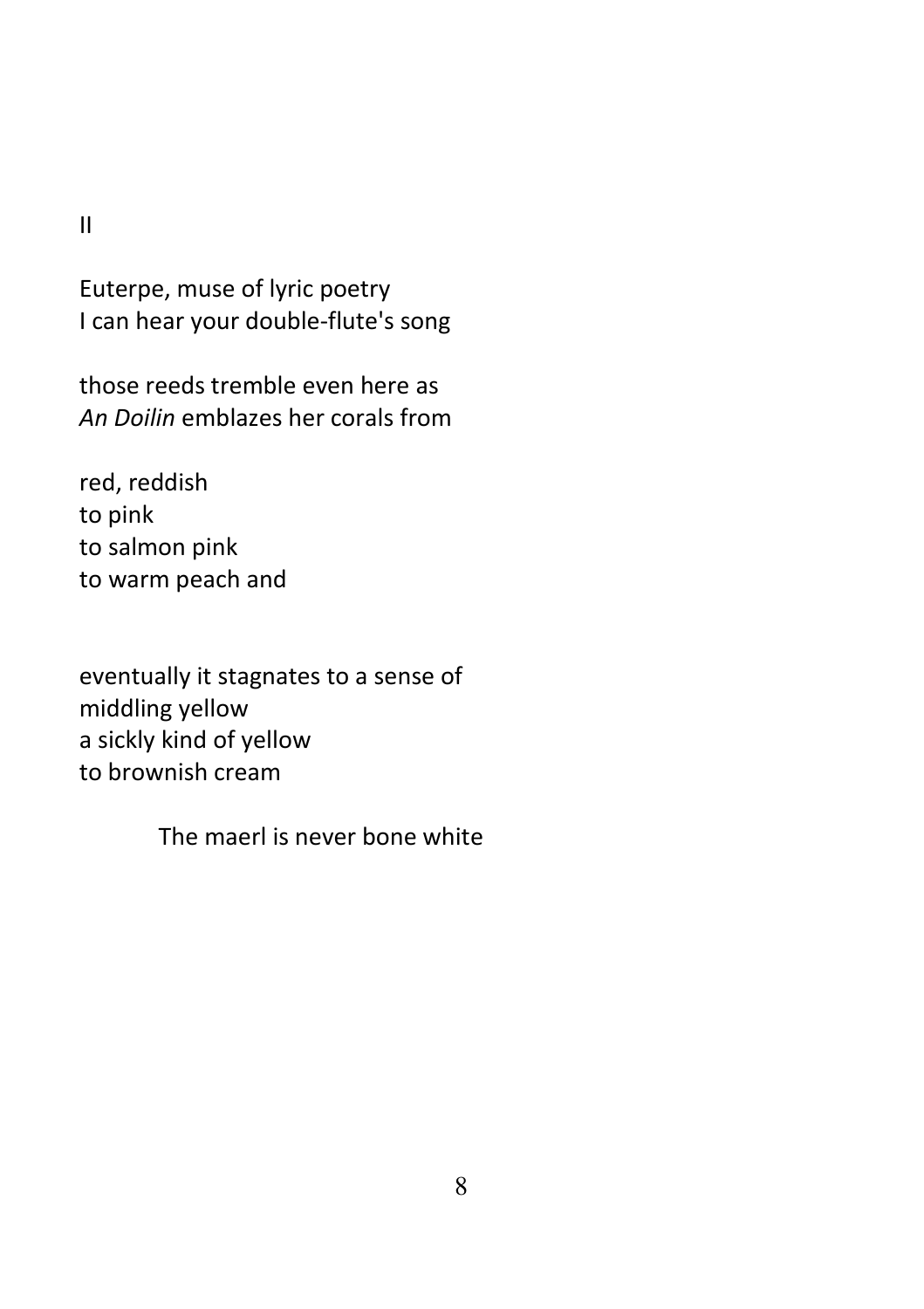II

Euterpe, muse of lyric poetry I can hear your double-flute's song

those reeds tremble even here as An Doilin emblazes her corals from

red, reddish to pink to salmon pink to warm peach and

eventually it stagnates to a sense of middling yellow a sickly kind of yellow to brownish cream

The maerl is never bone white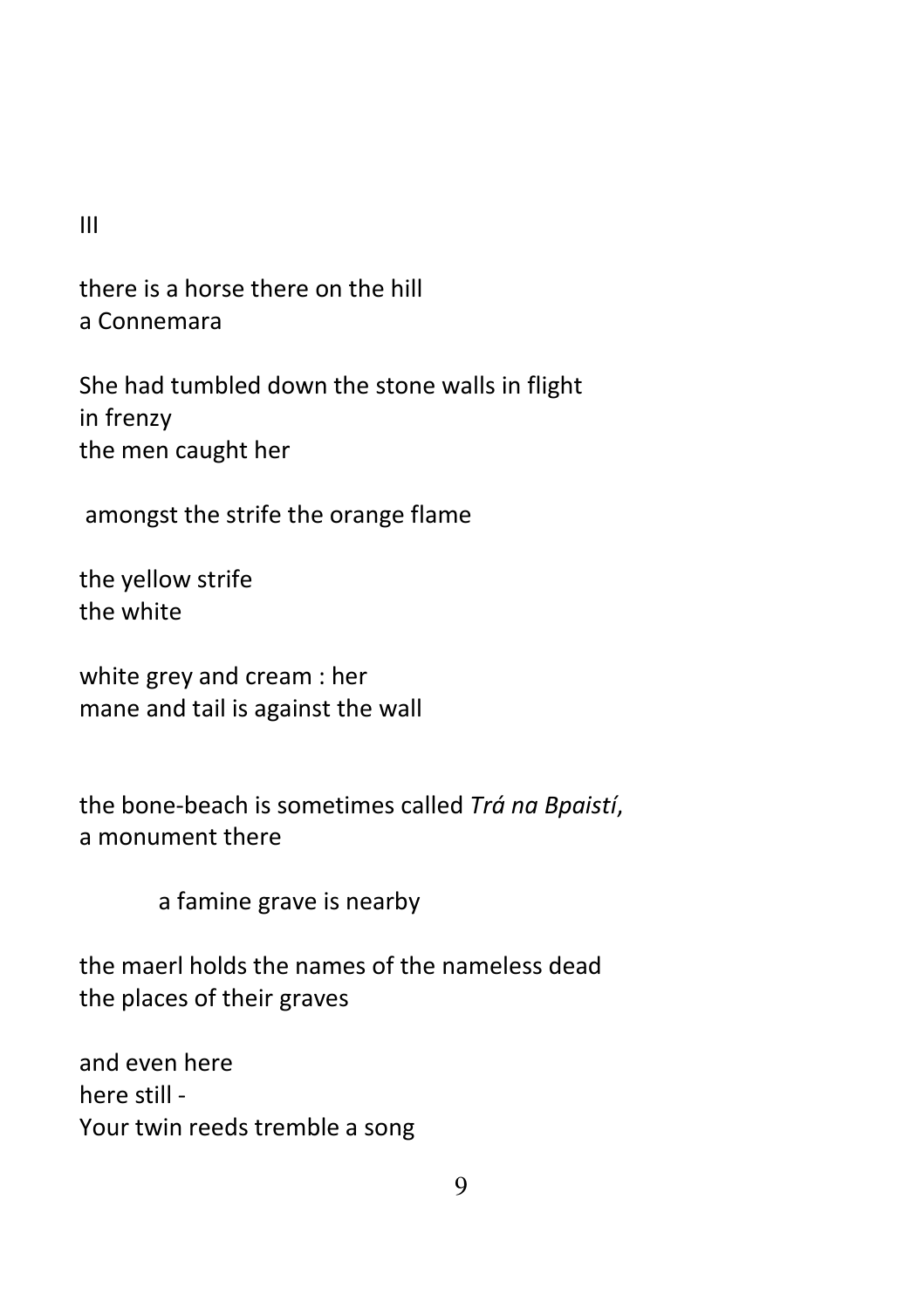III

there is a horse there on the hill a Connemara

She had tumbled down the stone walls in flight in frenzy the men caught her

amongst the strife the orange flame

the yellow strife the white

white grey and cream : her mane and tail is against the wall

the bone-beach is sometimes called Trá na Bpaistí, a monument there

a famine grave is nearby

the maerl holds the names of the nameless dead the places of their graves

and even here here still - Your twin reeds tremble a song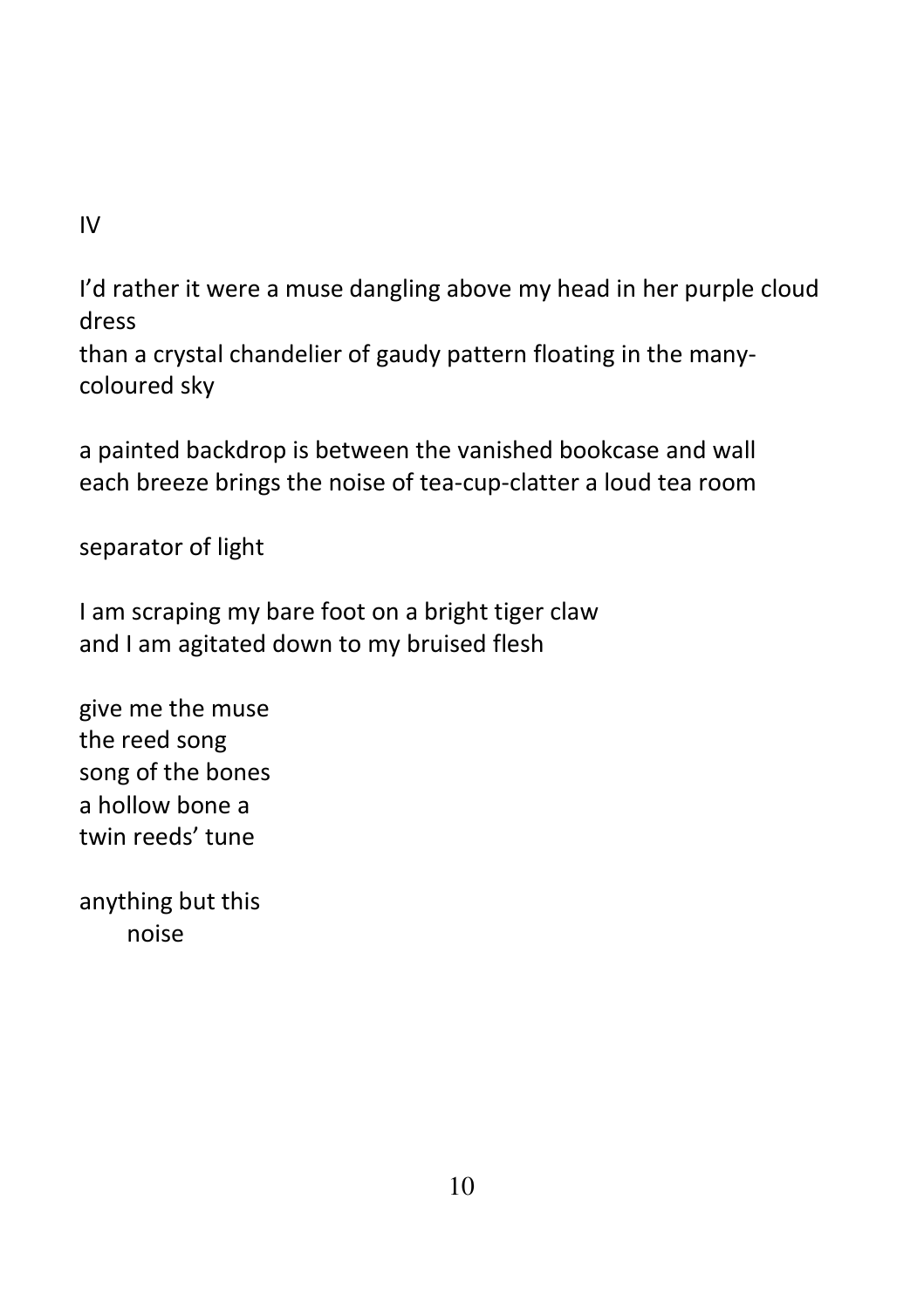IV

I'd rather it were a muse dangling above my head in her purple cloud dress

than a crystal chandelier of gaudy pattern floating in the manycoloured sky

a painted backdrop is between the vanished bookcase and wall each breeze brings the noise of tea-cup-clatter a loud tea room

separator of light

I am scraping my bare foot on a bright tiger claw and I am agitated down to my bruised flesh

give me the muse the reed song song of the bones a hollow bone a twin reeds' tune

anything but this noise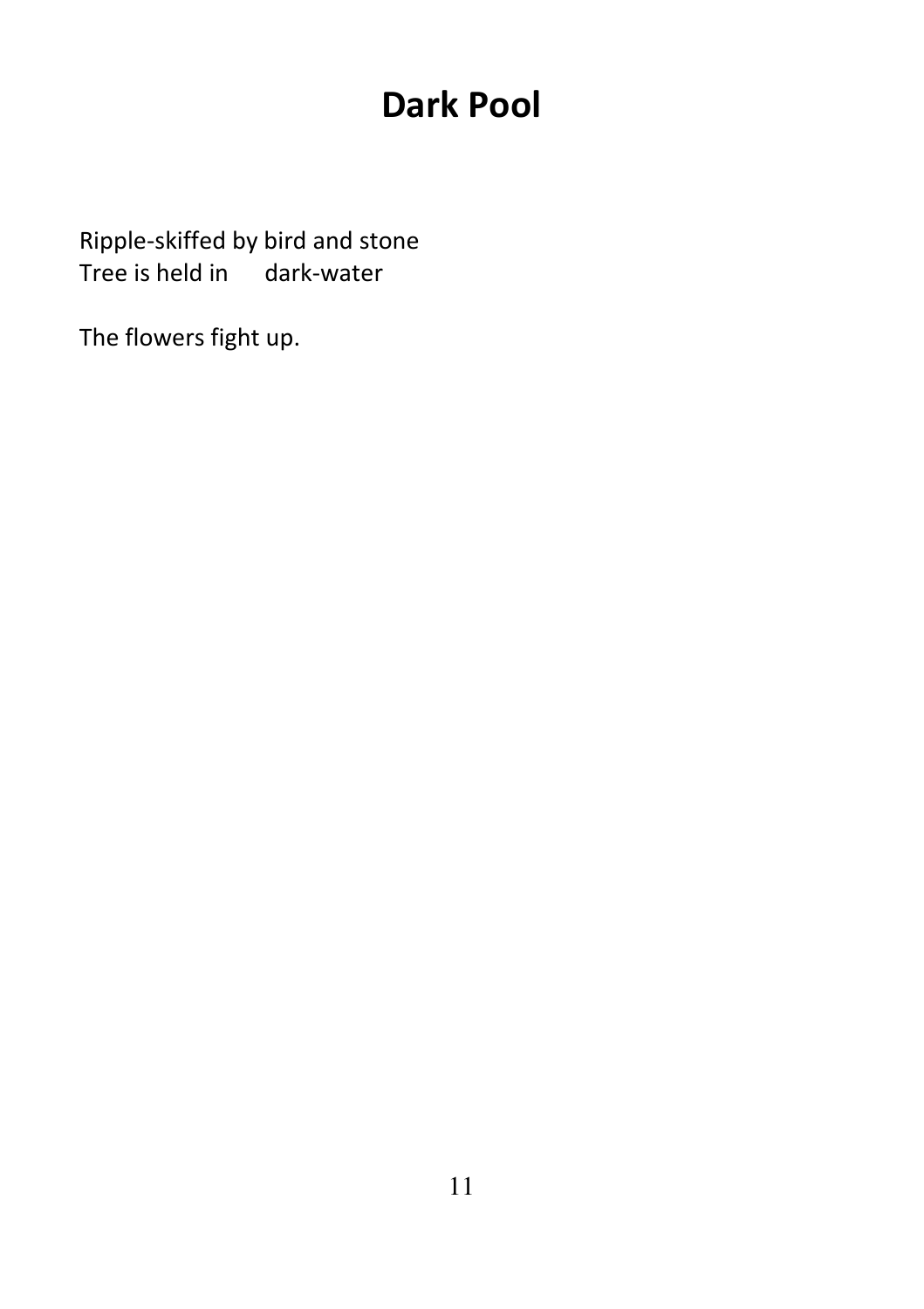# Dark Pool

Ripple-skiffed by bird and stone Tree is held in dark-water

The flowers fight up.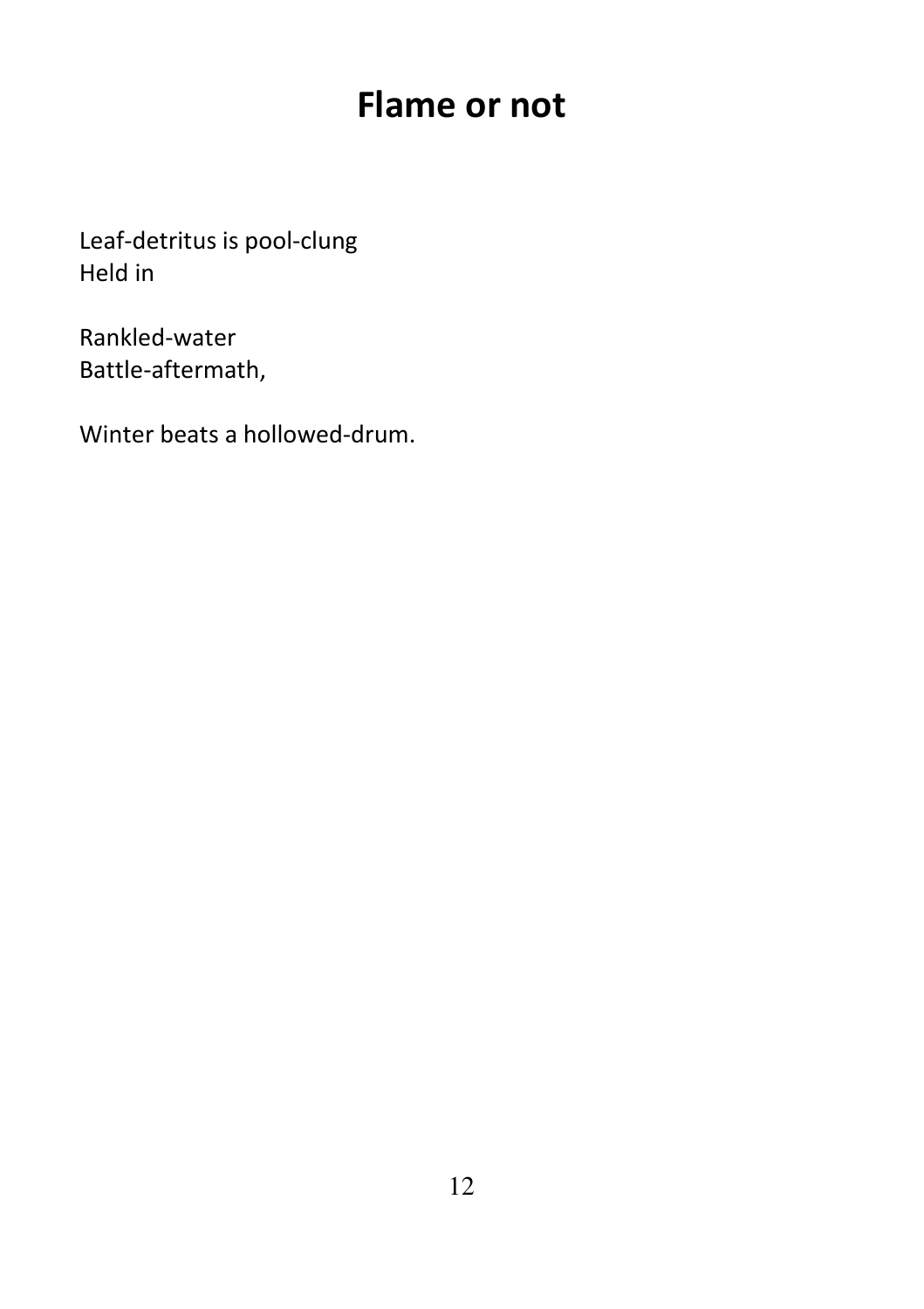### Flame or not

Leaf-detritus is pool-clung Held in

Rankled-water Battle-aftermath,

Winter beats a hollowed-drum.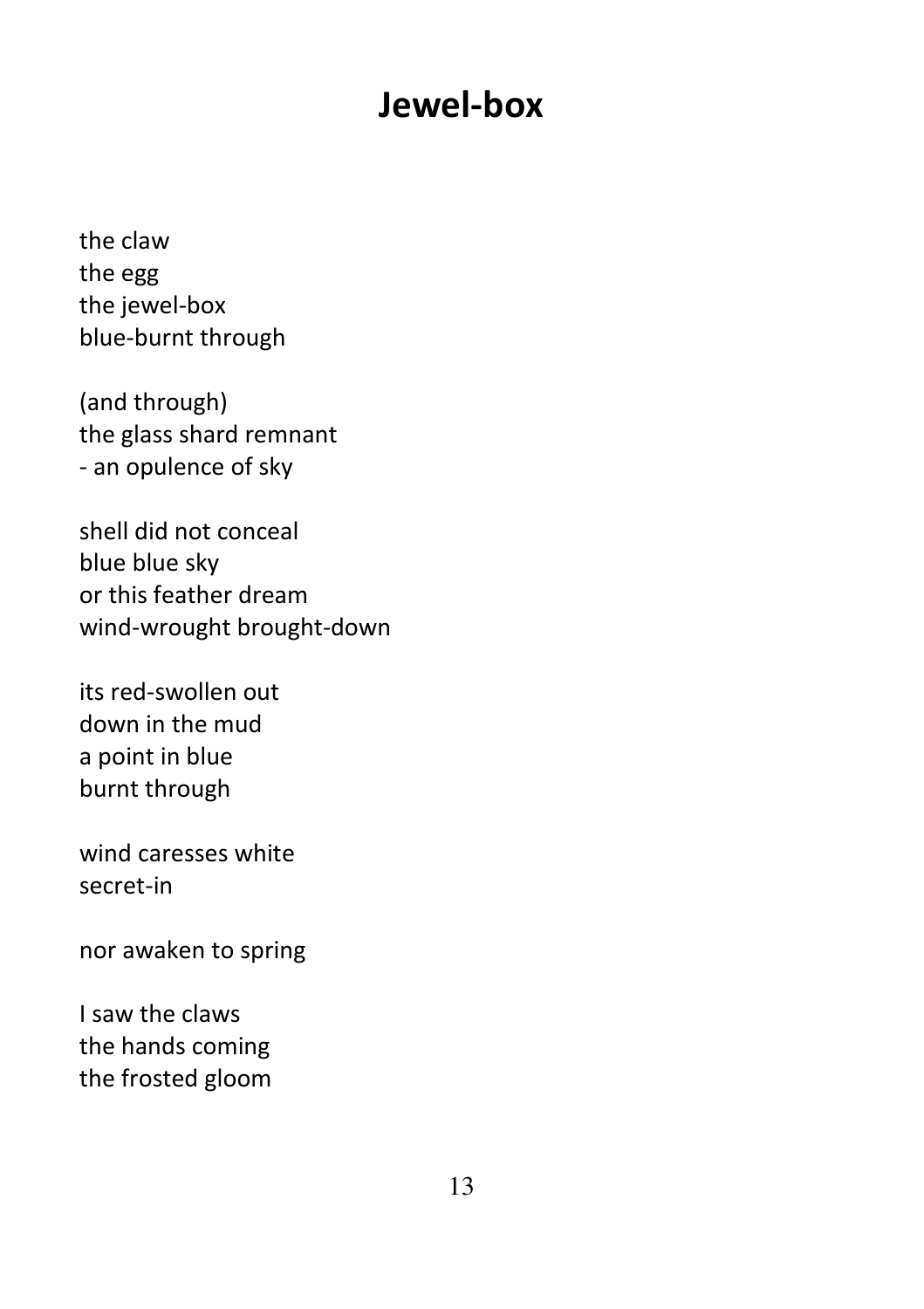### Jewel-box

the claw the egg the jewel-box blue-burnt through

(and through) the glass shard remnant - an opulence of sky

shell did not conceal blue blue sky or this feather dream wind-wrought brought-down

its red-swollen out down in the mud a point in blue burnt through

wind caresses white secret-in

nor awaken to spring

I saw the claws the hands coming the frosted gloom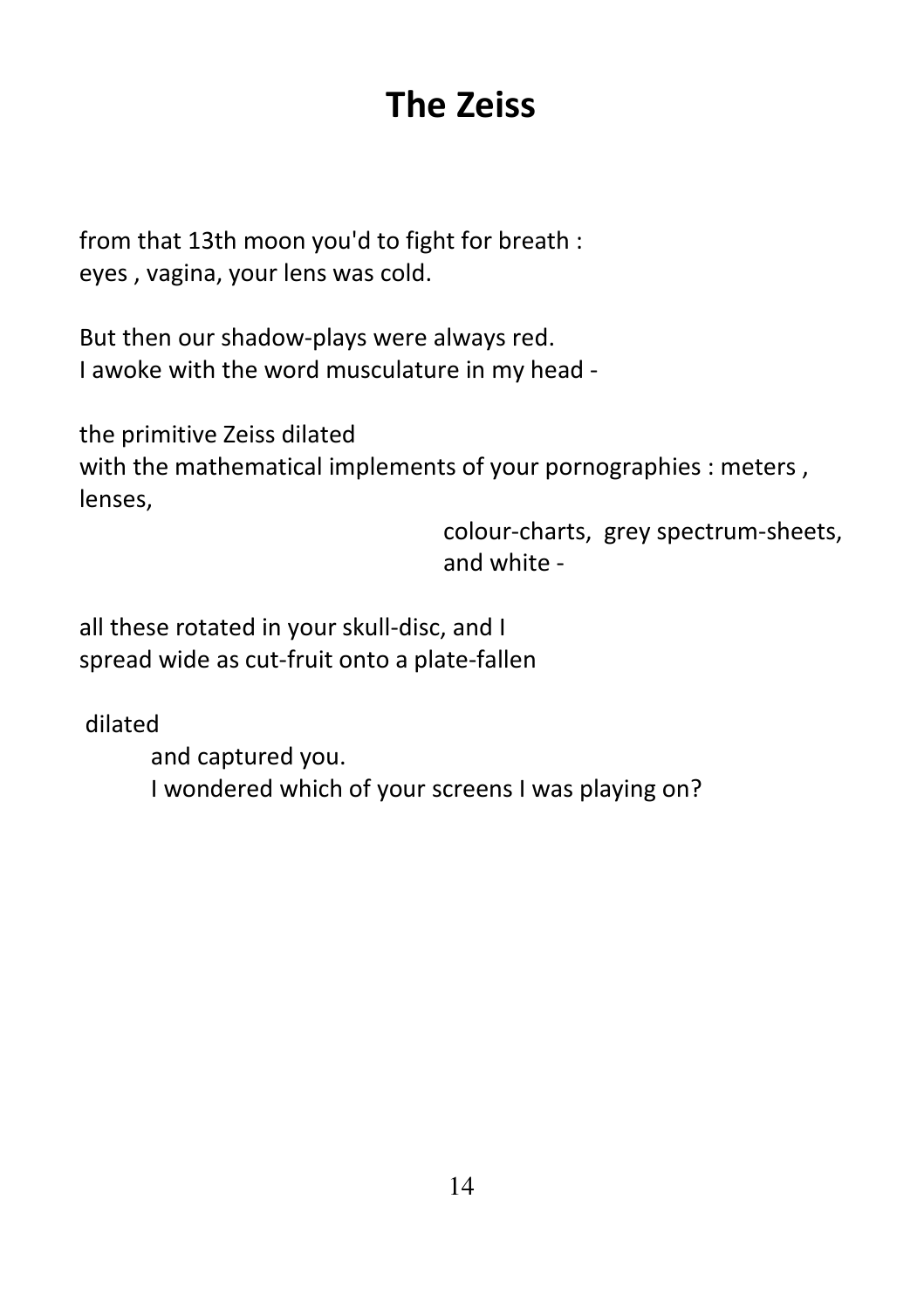# The Zeiss

from that 13th moon you'd to fight for breath : eyes , vagina, your lens was cold.

But then our shadow-plays were always red. I awoke with the word musculature in my head -

the primitive Zeiss dilated with the mathematical implements of your pornographies : meters, lenses,

> colour-charts, grey spectrum-sheets, and white -

all these rotated in your skull-disc, and I spread wide as cut-fruit onto a plate-fallen

dilated

 and captured you. I wondered which of your screens I was playing on?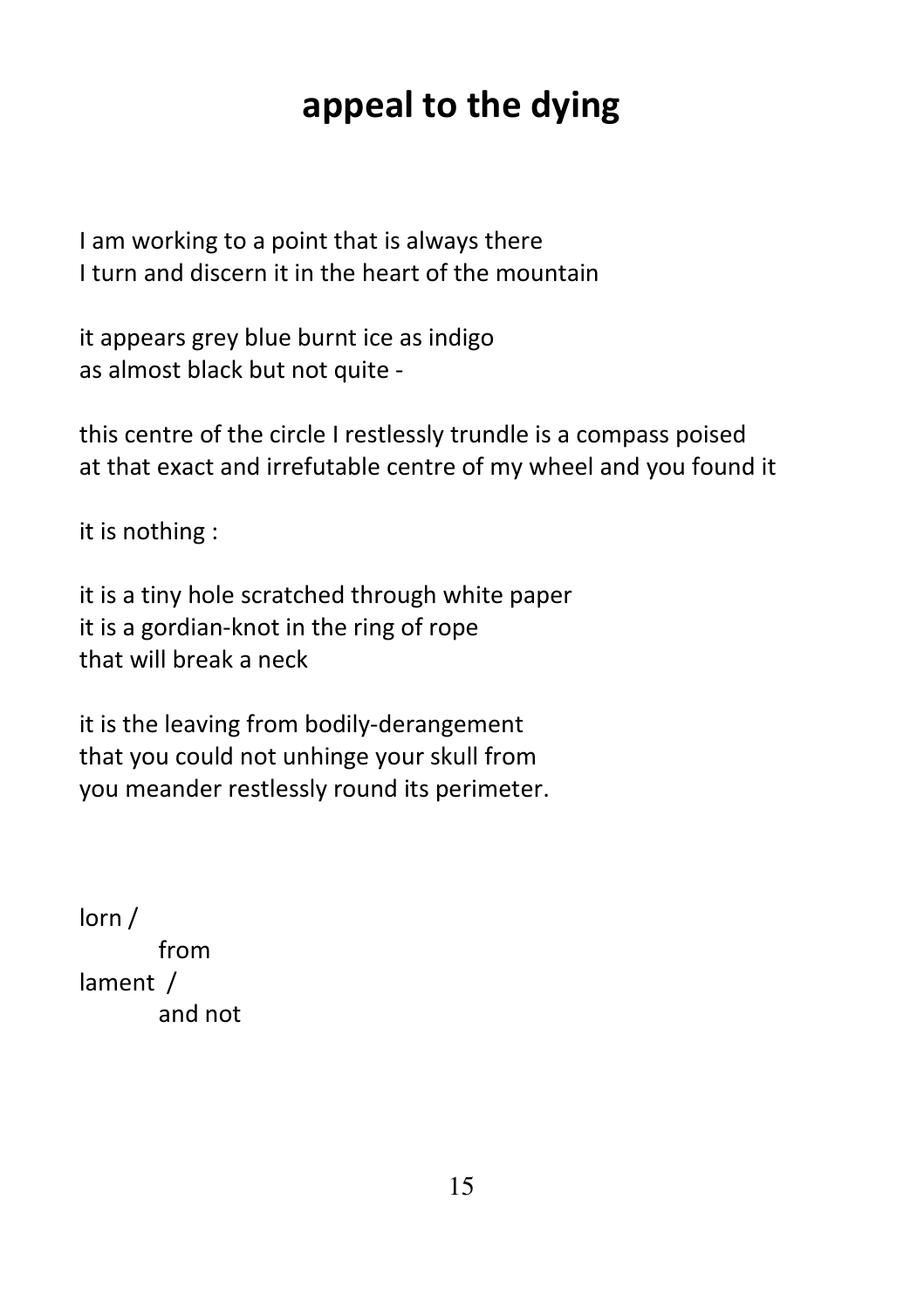# appeal to the dying

I am working to a point that is always there I turn and discern it in the heart of the mountain

it appears grey blue burnt ice as indigo as almost black but not quite -

this centre of the circle I restlessly trundle is a compass poised at that exact and irrefutable centre of my wheel and you found it

it is nothing :

it is a tiny hole scratched through white paper it is a gordian-knot in the ring of rope that will break a neck

it is the leaving from bodily-derangement that you could not unhinge your skull from you meander restlessly round its perimeter.

lorn / from lament / and not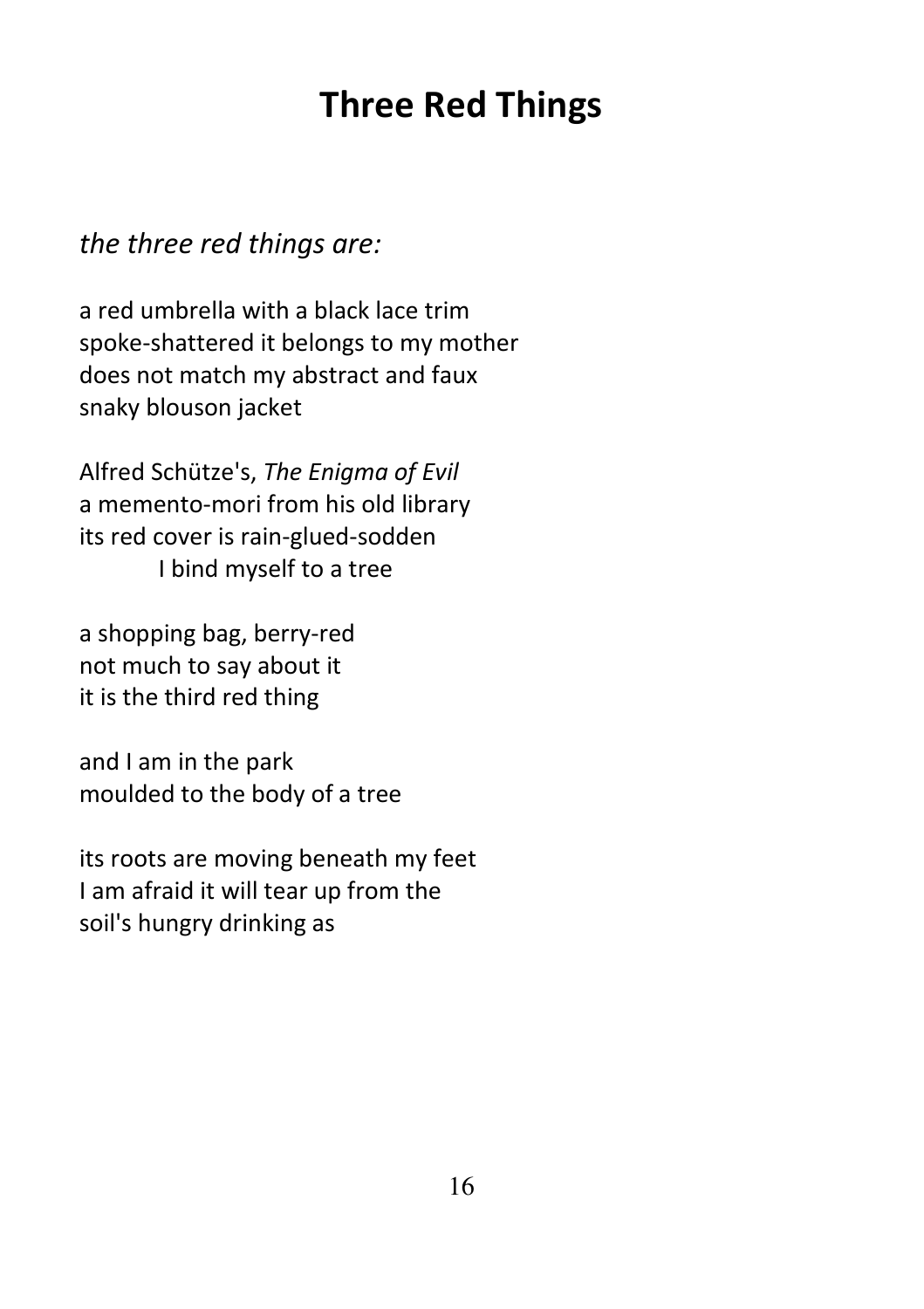## Three Red Things

#### the three red things are:

a red umbrella with a black lace trim spoke-shattered it belongs to my mother does not match my abstract and faux snaky blouson jacket

Alfred Schütze's, The Enigma of Evil a memento-mori from his old library its red cover is rain-glued-sodden I bind myself to a tree

a shopping bag, berry-red not much to say about it it is the third red thing

and I am in the park moulded to the body of a tree

its roots are moving beneath my feet I am afraid it will tear up from the soil's hungry drinking as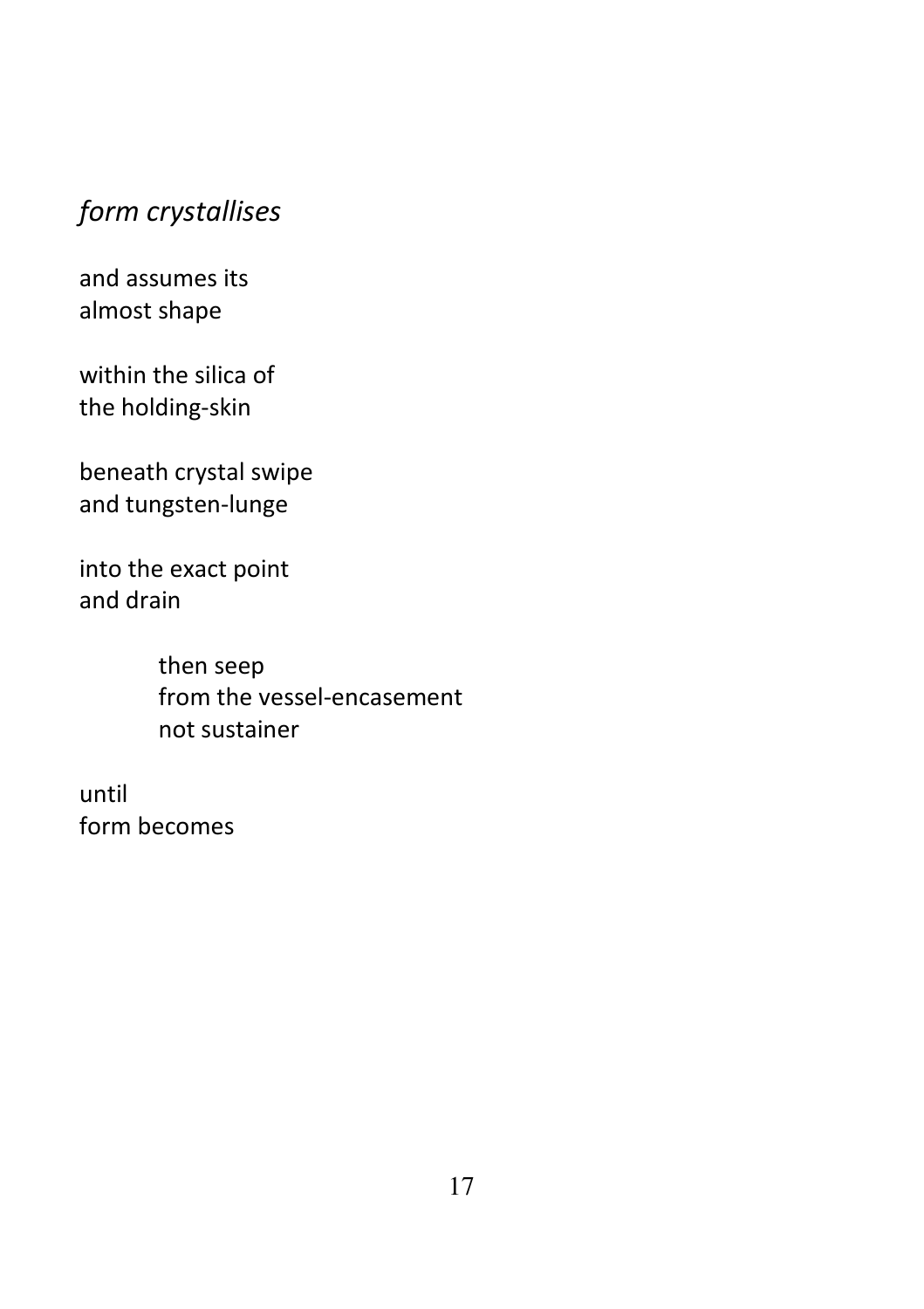### form crystallises

and assumes its almost shape

within the silica of the holding-skin

beneath crystal swipe and tungsten-lunge

into the exact point and drain

> then seep from the vessel-encasement not sustainer

until form becomes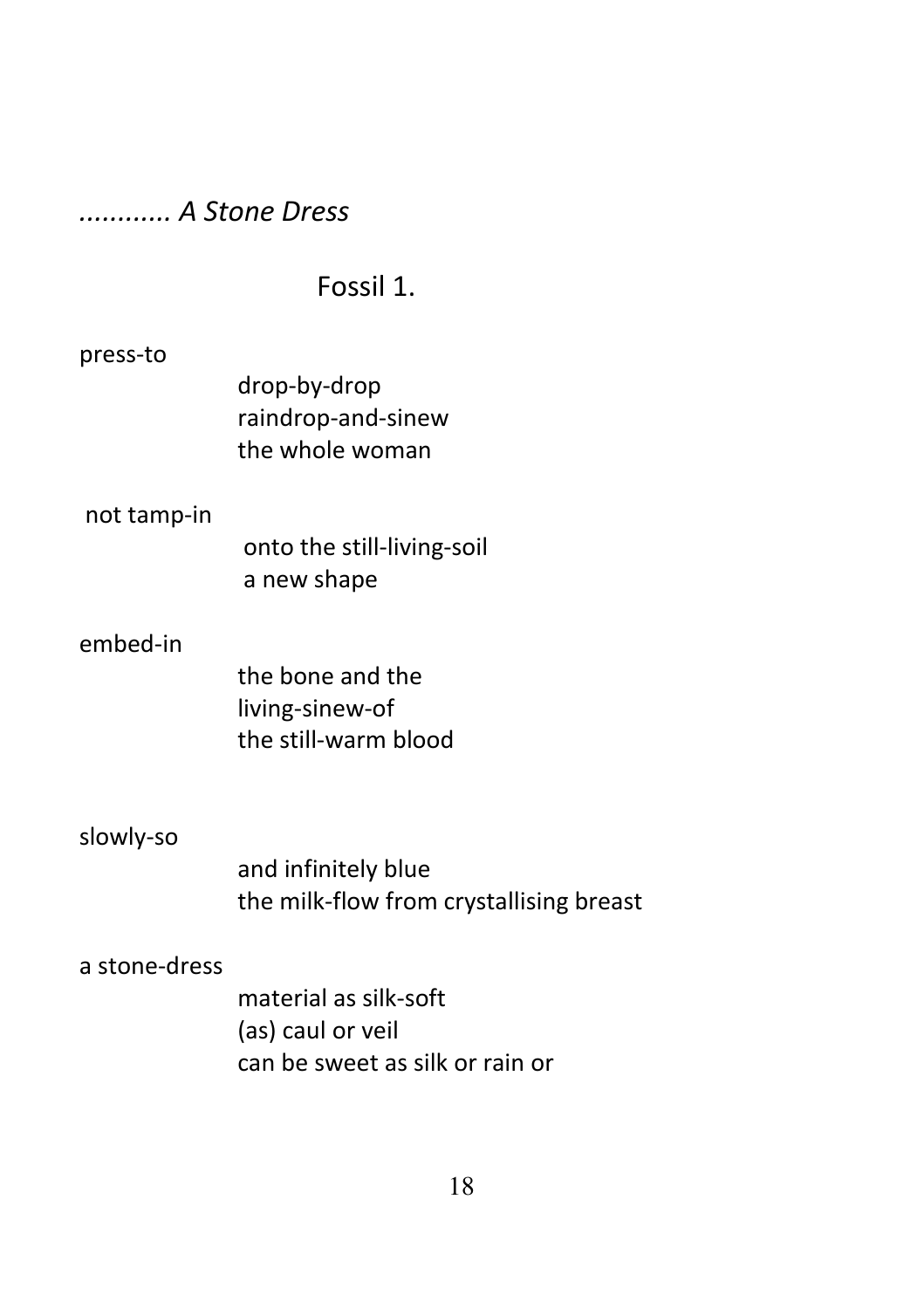#### ............ A Stone Dress

#### Fossil 1.

#### press-to

drop-by-drop raindrop-and-sinew the whole woman

#### not tamp-in

 onto the still-living-soil a new shape

#### embed-in

the bone and the living-sinew-of the still-warm blood

#### slowly-so

and infinitely blue the milk-flow from crystallising breast

#### a stone-dress

material as silk-soft (as) caul or veil can be sweet as silk or rain or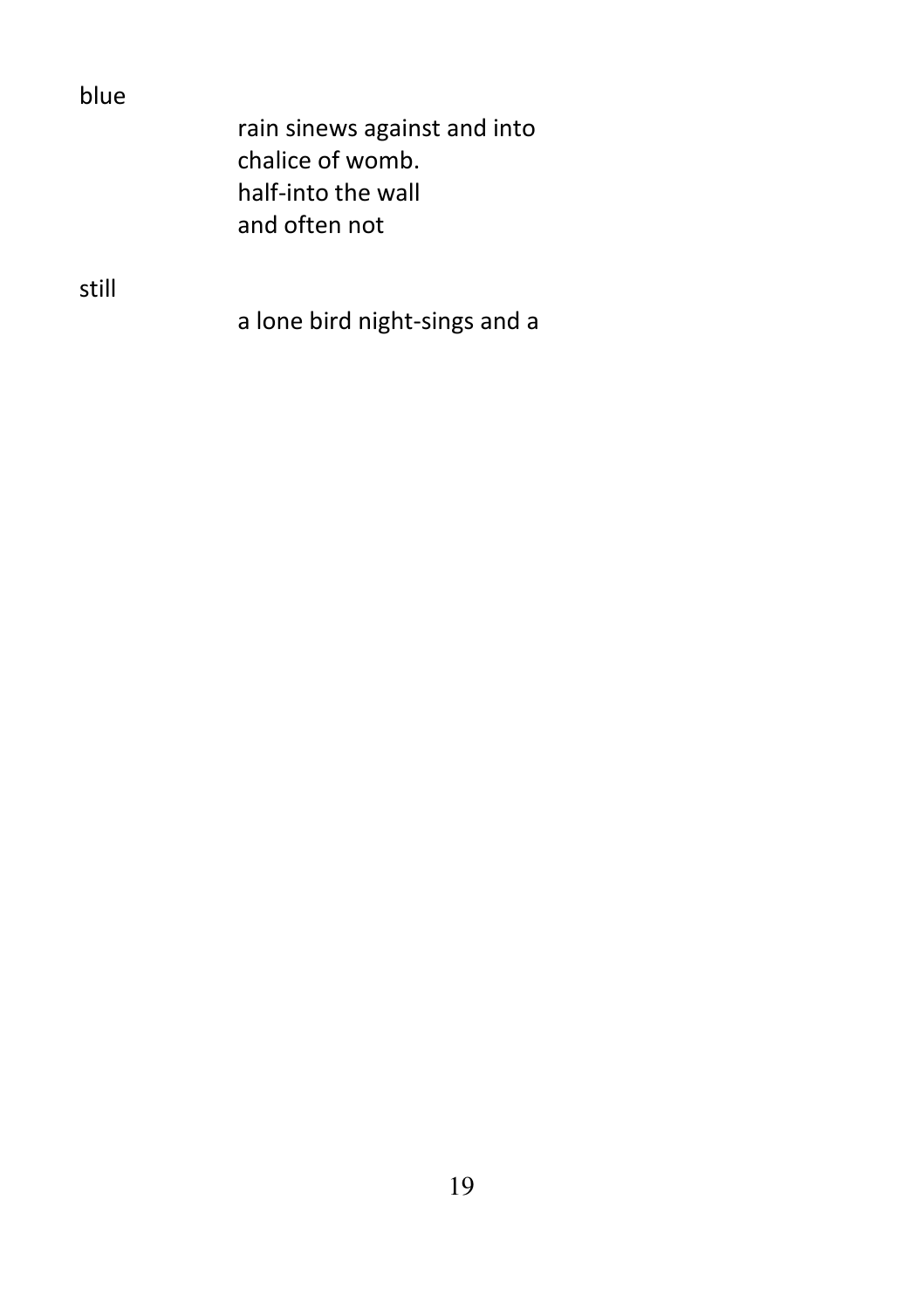| blue  |                               |
|-------|-------------------------------|
|       | rain sinews against and into  |
|       | chalice of womb.              |
|       | half-into the wall            |
|       | and often not                 |
|       |                               |
| still |                               |
|       | a lone bird night-sings and a |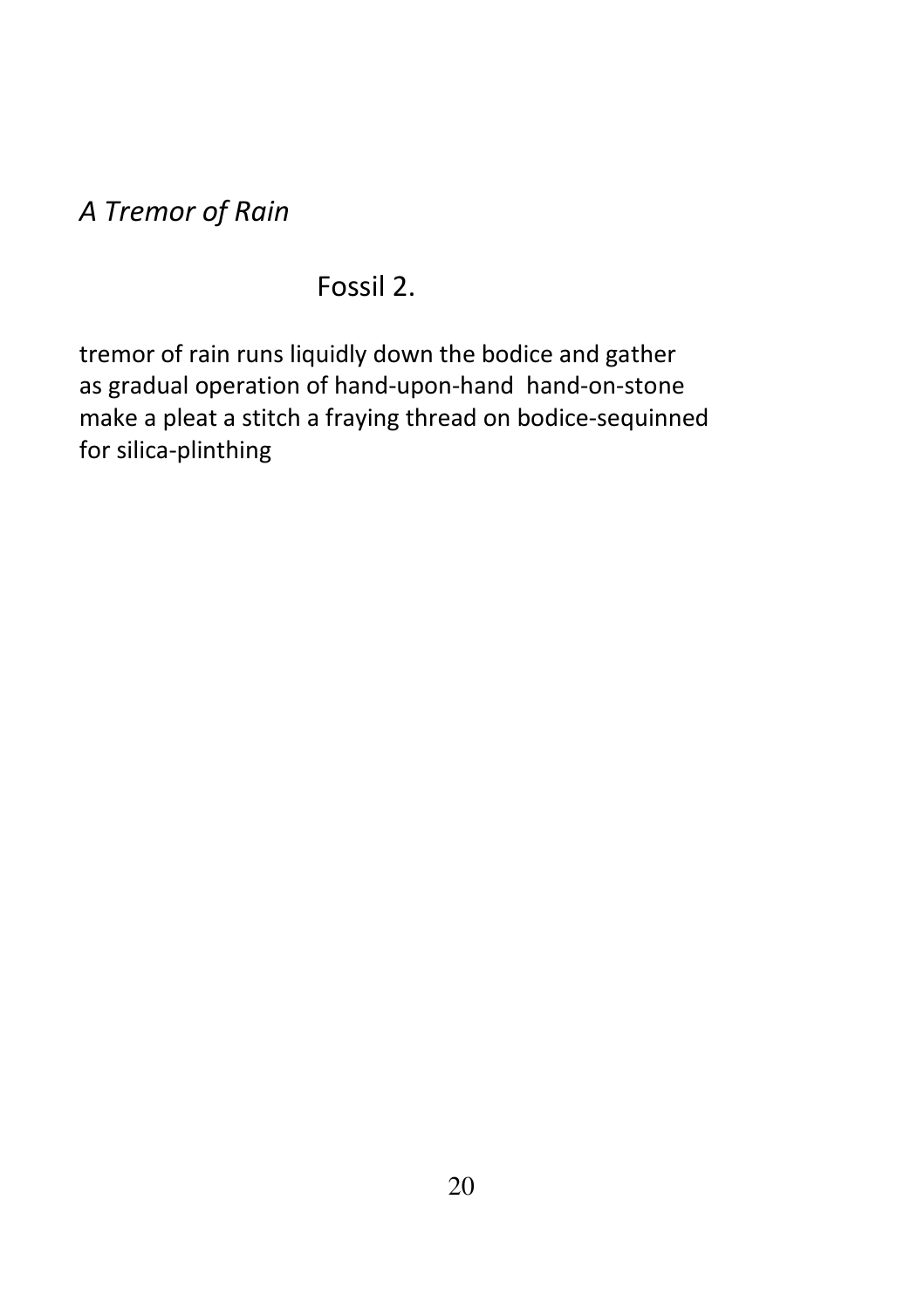A Tremor of Rain

#### Fossil 2.

tremor of rain runs liquidly down the bodice and gather as gradual operation of hand-upon-hand hand-on-stone make a pleat a stitch a fraying thread on bodice-sequinned for silica-plinthing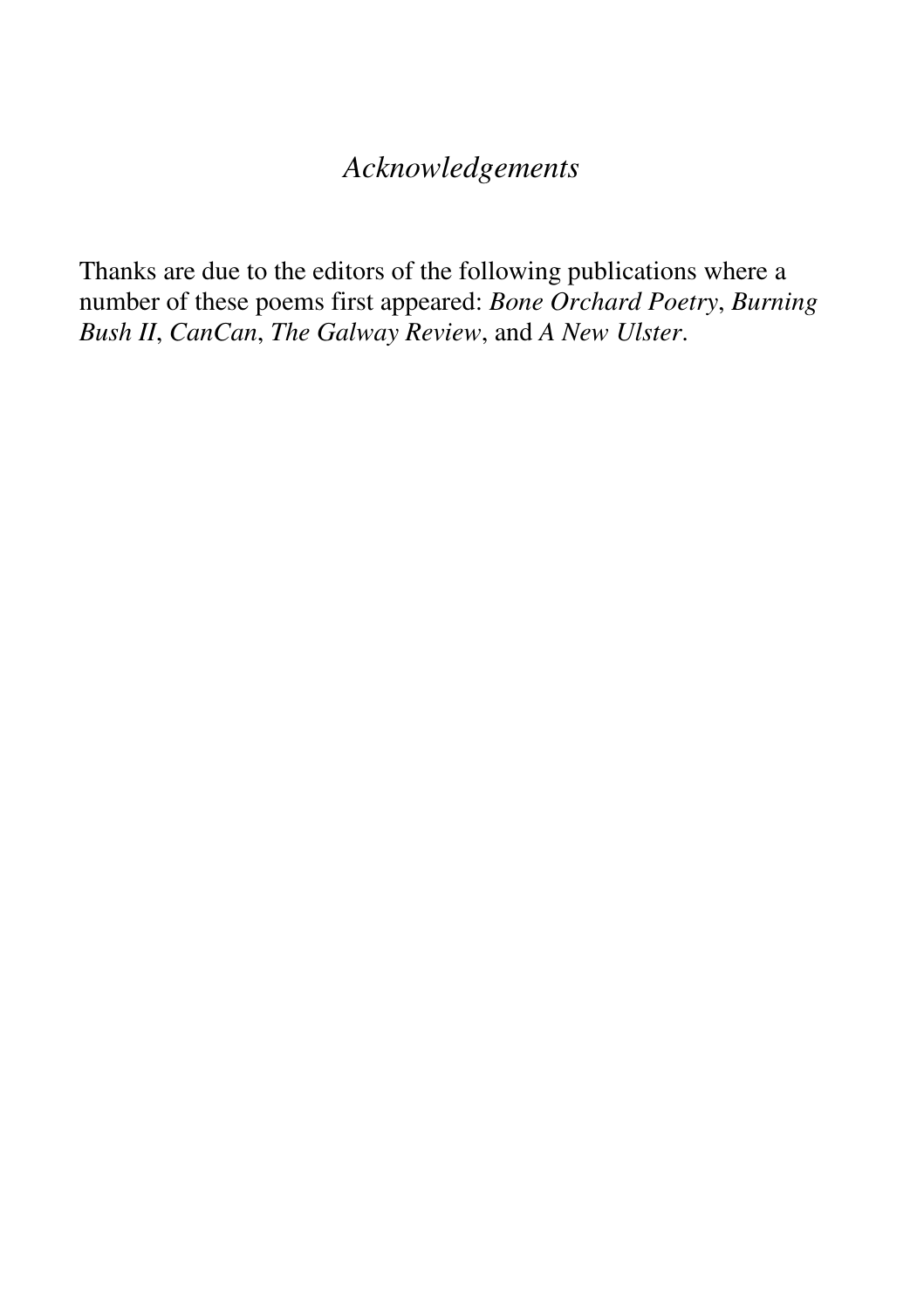#### *Acknowledgements*

Thanks are due to the editors of the following publications where a number of these poems first appeared: *Bone Orchard Poetry*, *Burning Bush II*, *CanCan*, *The Galway Review*, and *A New Ulster*.